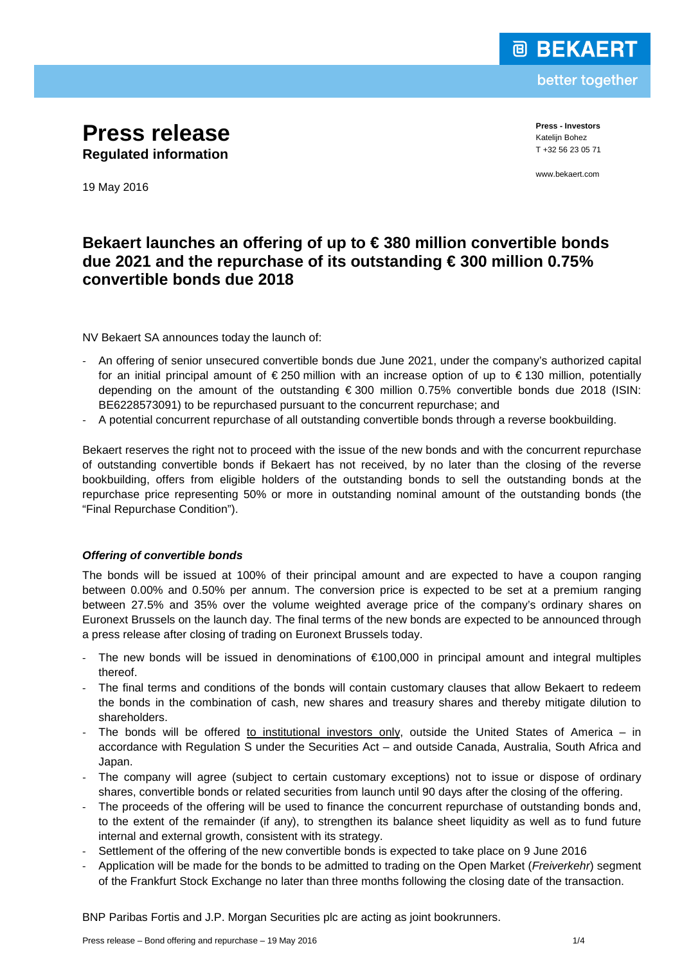

better together

**Press release Regulated information**

**Press - Investors** Katelijn Bohez T +32 56 23 05 71

www.bekaert.com

19 May 2016

# **Bekaert launches an offering of up to € 380 million convertible bonds due 2021 and the repurchase of its outstanding € 300 million 0.75% convertible bonds due 2018**

NV Bekaert SA announces today the launch of:

- An offering of senior unsecured convertible bonds due June 2021, under the company's authorized capital for an initial principal amount of  $\epsilon$  250 million with an increase option of up to  $\epsilon$  130 million, potentially depending on the amount of the outstanding € 300 million 0.75% convertible bonds due 2018 (ISIN: BE6228573091) to be repurchased pursuant to the concurrent repurchase; and
- A potential concurrent repurchase of all outstanding convertible bonds through a reverse bookbuilding.

Bekaert reserves the right not to proceed with the issue of the new bonds and with the concurrent repurchase of outstanding convertible bonds if Bekaert has not received, by no later than the closing of the reverse bookbuilding, offers from eligible holders of the outstanding bonds to sell the outstanding bonds at the repurchase price representing 50% or more in outstanding nominal amount of the outstanding bonds (the "Final Repurchase Condition").

## *Offering of convertible bonds*

The bonds will be issued at 100% of their principal amount and are expected to have a coupon ranging between 0.00% and 0.50% per annum. The conversion price is expected to be set at a premium ranging between 27.5% and 35% over the volume weighted average price of the company's ordinary shares on Euronext Brussels on the launch day. The final terms of the new bonds are expected to be announced through a press release after closing of trading on Euronext Brussels today.

- The new bonds will be issued in denominations of  $€100,000$  in principal amount and integral multiples thereof.
- The final terms and conditions of the bonds will contain customary clauses that allow Bekaert to redeem the bonds in the combination of cash, new shares and treasury shares and thereby mitigate dilution to shareholders.
- The bonds will be offered to institutional investors only, outside the United States of America in accordance with Regulation S under the Securities Act – and outside Canada, Australia, South Africa and Japan.
- The company will agree (subject to certain customary exceptions) not to issue or dispose of ordinary shares, convertible bonds or related securities from launch until 90 days after the closing of the offering.
- The proceeds of the offering will be used to finance the concurrent repurchase of outstanding bonds and, to the extent of the remainder (if any), to strengthen its balance sheet liquidity as well as to fund future internal and external growth, consistent with its strategy.
- Settlement of the offering of the new convertible bonds is expected to take place on 9 June 2016
- Application will be made for the bonds to be admitted to trading on the Open Market (*Freiverkehr*) segment of the Frankfurt Stock Exchange no later than three months following the closing date of the transaction.

BNP Paribas Fortis and J.P. Morgan Securities plc are acting as joint bookrunners.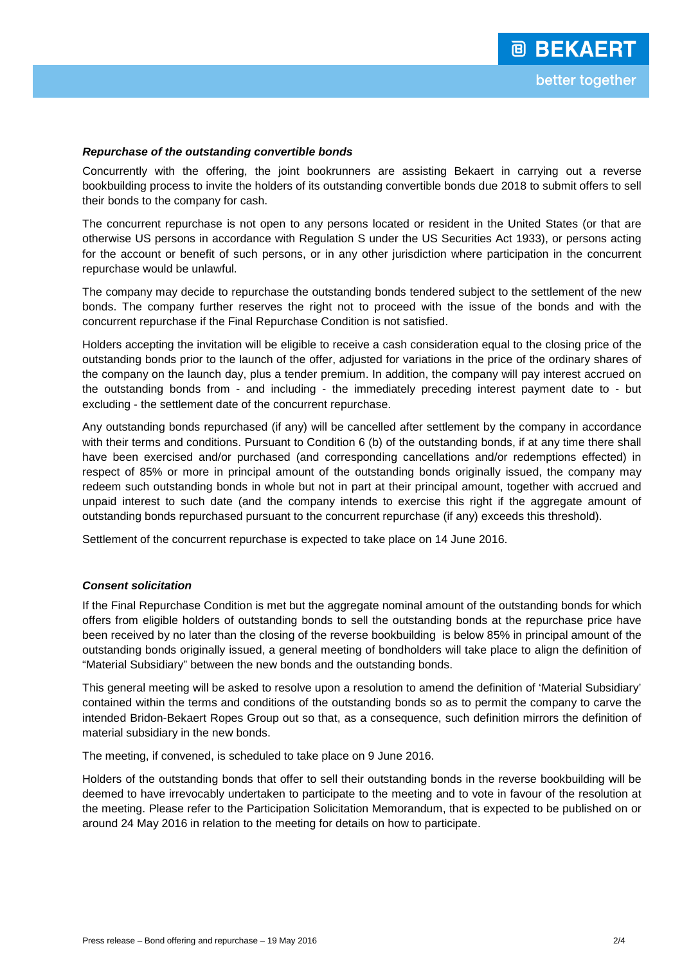## *Repurchase of the outstanding convertible bonds*

Concurrently with the offering, the joint bookrunners are assisting Bekaert in carrying out a reverse bookbuilding process to invite the holders of its outstanding convertible bonds due 2018 to submit offers to sell their bonds to the company for cash.

The concurrent repurchase is not open to any persons located or resident in the United States (or that are otherwise US persons in accordance with Regulation S under the US Securities Act 1933), or persons acting for the account or benefit of such persons, or in any other jurisdiction where participation in the concurrent repurchase would be unlawful.

The company may decide to repurchase the outstanding bonds tendered subject to the settlement of the new bonds. The company further reserves the right not to proceed with the issue of the bonds and with the concurrent repurchase if the Final Repurchase Condition is not satisfied.

Holders accepting the invitation will be eligible to receive a cash consideration equal to the closing price of the outstanding bonds prior to the launch of the offer, adjusted for variations in the price of the ordinary shares of the company on the launch day, plus a tender premium. In addition, the company will pay interest accrued on the outstanding bonds from - and including - the immediately preceding interest payment date to - but excluding - the settlement date of the concurrent repurchase.

Any outstanding bonds repurchased (if any) will be cancelled after settlement by the company in accordance with their terms and conditions. Pursuant to Condition 6 (b) of the outstanding bonds, if at any time there shall have been exercised and/or purchased (and corresponding cancellations and/or redemptions effected) in respect of 85% or more in principal amount of the outstanding bonds originally issued, the company may redeem such outstanding bonds in whole but not in part at their principal amount, together with accrued and unpaid interest to such date (and the company intends to exercise this right if the aggregate amount of outstanding bonds repurchased pursuant to the concurrent repurchase (if any) exceeds this threshold).

Settlement of the concurrent repurchase is expected to take place on 14 June 2016.

## *Consent solicitation*

If the Final Repurchase Condition is met but the aggregate nominal amount of the outstanding bonds for which offers from eligible holders of outstanding bonds to sell the outstanding bonds at the repurchase price have been received by no later than the closing of the reverse bookbuilding is below 85% in principal amount of the outstanding bonds originally issued, a general meeting of bondholders will take place to align the definition of "Material Subsidiary" between the new bonds and the outstanding bonds.

This general meeting will be asked to resolve upon a resolution to amend the definition of 'Material Subsidiary' contained within the terms and conditions of the outstanding bonds so as to permit the company to carve [the](http://www.bekaert.com/en/about-us/news-room/news/bekaert-and-ontario-teachers-pension-plan-announce-merger-of-the-global-ropes-and-advanced-cords-businesses-of-bekaert-and-bridon)  [intended Bridon-Bekaert Ropes Group](http://www.bekaert.com/en/about-us/news-room/news/bekaert-and-ontario-teachers-pension-plan-announce-merger-of-the-global-ropes-and-advanced-cords-businesses-of-bekaert-and-bridon) out so that, as a consequence, such definition mirrors the definition of material subsidiary in the new bonds.

The meeting, if convened, is scheduled to take place on 9 June 2016.

Holders of the outstanding bonds that offer to sell their outstanding bonds in the reverse bookbuilding will be deemed to have irrevocably undertaken to participate to the meeting and to vote in favour of the resolution at the meeting. Please refer to the Participation Solicitation Memorandum, that is expected to be published on or around 24 May 2016 in relation to the meeting for details on how to participate.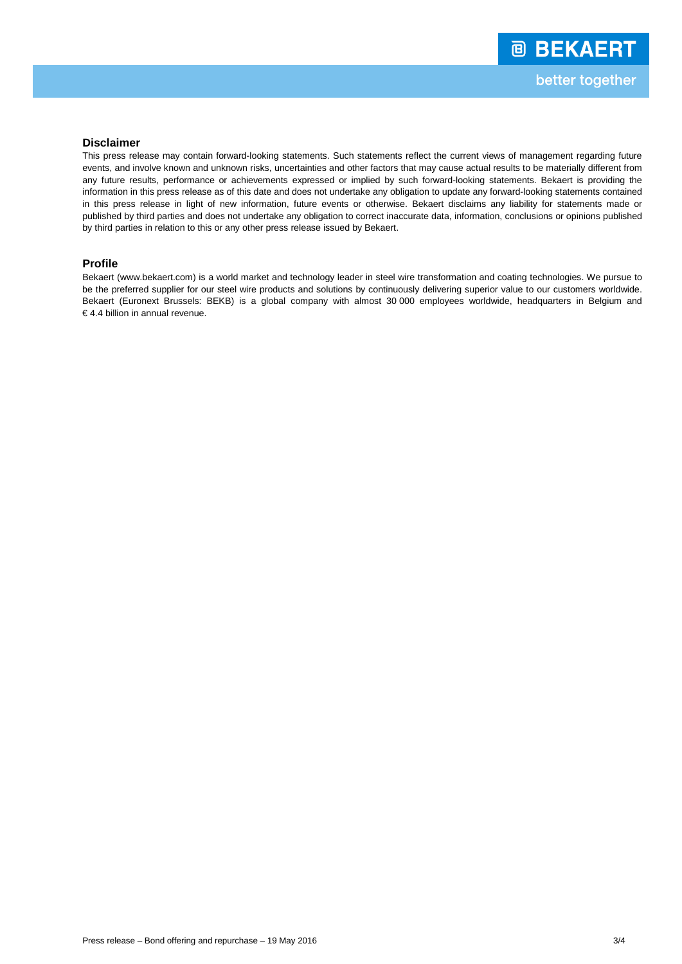#### **Disclaimer**

This press release may contain forward-looking statements. Such statements reflect the current views of management regarding future events, and involve known and unknown risks, uncertainties and other factors that may cause actual results to be materially different from any future results, performance or achievements expressed or implied by such forward-looking statements. Bekaert is providing the information in this press release as of this date and does not undertake any obligation to update any forward-looking statements contained in this press release in light of new information, future events or otherwise. Bekaert disclaims any liability for statements made or published by third parties and does not undertake any obligation to correct inaccurate data, information, conclusions or opinions published by third parties in relation to this or any other press release issued by Bekaert.

#### **Profile**

Bekaert [\(www.bekaert.com\)](http://www.bekaert.com/) is a world market and technology leader in steel wire transformation and coating technologies. We pursue to be the preferred supplier for our steel wire products and solutions by continuously delivering superior value to our customers worldwide. Bekaert (Euronext Brussels: BEKB) is a global company with almost 30 000 employees worldwide, headquarters in Belgium and € 4.4 billion in annual revenue.